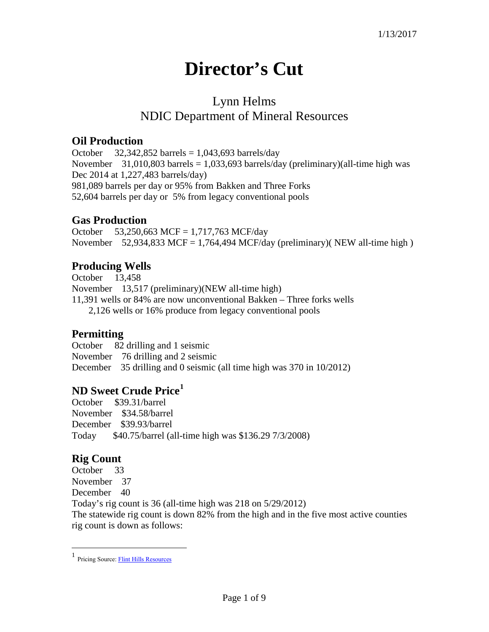# **Director's Cut**

## Lynn Helms NDIC Department of Mineral Resources

#### **Oil Production**

October  $32,342,852$  barrels = 1,043,693 barrels/day November 31,010,803 barrels = 1,033,693 barrels/day (preliminary)(all-time high was Dec 2014 at 1,227,483 barrels/day) 981,089 barrels per day or 95% from Bakken and Three Forks 52,604 barrels per day or 5% from legacy conventional pools

#### **Gas Production**

October 53,250,663 MCF = 1,717,763 MCF/day November 52,934,833 MCF = 1,764,494 MCF/day (preliminary)( NEW all-time high)

#### **Producing Wells**

October 13,458 November 13,517 (preliminary)(NEW all-time high) 11,391 wells or 84% are now unconventional Bakken – Three forks wells 2,126 wells or 16% produce from legacy conventional pools

#### **Permitting**

October 82 drilling and 1 seismic November 76 drilling and 2 seismic December 35 drilling and 0 seismic (all time high was 370 in 10/2012)

### **ND Sweet Crude Price[1](#page-0-0)**

October \$39.31/barrel November \$34.58/barrel December \$39.93/barrel Today \$40.75/barrel (all-time high was \$136.29 7/3/2008)

#### **Rig Count**

 $\overline{a}$ 

October 33 November 37 December 40 Today's rig count is 36 (all-time high was 218 on 5/29/2012) The statewide rig count is down 82% from the high and in the five most active counties rig count is down as follows:

<span id="page-0-0"></span><sup>1</sup> Pricing Source[: Flint Hills Resources](http://www.fhr.com/refining/bulletins.aspx?AspxAutoDetectCookieSupport=1)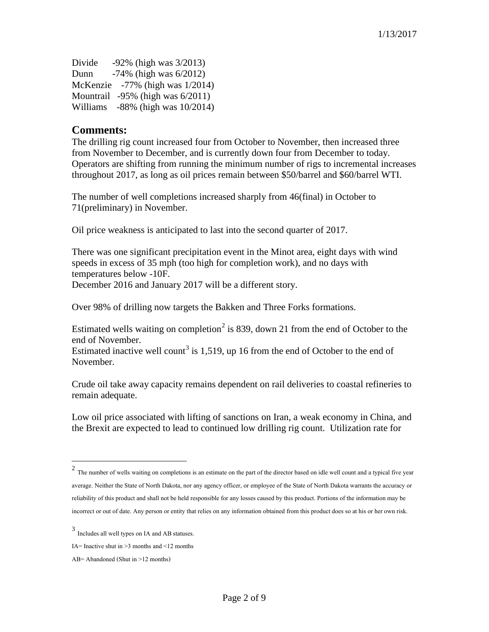| Divide | $-92\%$ (high was $3/2013$ )           |
|--------|----------------------------------------|
| Dunn   | $-74\%$ (high was $6/2012$ )           |
|        | McKenzie $-77\%$ (high was $1/2014$ )  |
|        | Mountrail $-95\%$ (high was $6/2011$ ) |
|        | Williams $-88\%$ (high was $10/2014$ ) |

#### **Comments:**

The drilling rig count increased four from October to November, then increased three from November to December, and is currently down four from December to today. Operators are shifting from running the minimum number of rigs to incremental increases throughout 2017, as long as oil prices remain between \$50/barrel and \$60/barrel WTI.

The number of well completions increased sharply from 46(final) in October to 71(preliminary) in November.

Oil price weakness is anticipated to last into the second quarter of 2017.

There was one significant precipitation event in the Minot area, eight days with wind speeds in excess of 35 mph (too high for completion work), and no days with temperatures below -10F. December 2016 and January 2017 will be a different story.

Over 98% of drilling now targets the Bakken and Three Forks formations.

Estimated wells waiting on completion<sup>[2](#page-1-0)</sup> is 839, down 21 from the end of October to the end of November.

Estimated inactive well count<sup>[3](#page-1-1)</sup> is 1,519, up 16 from the end of October to the end of November.

Crude oil take away capacity remains dependent on rail deliveries to coastal refineries to remain adequate.

Low oil price associated with lifting of sanctions on Iran, a weak economy in China, and the Brexit are expected to lead to continued low drilling rig count. Utilization rate for

 $\overline{a}$ 

<span id="page-1-0"></span> $2$  The number of wells waiting on completions is an estimate on the part of the director based on idle well count and a typical five year average. Neither the State of North Dakota, nor any agency officer, or employee of the State of North Dakota warrants the accuracy or reliability of this product and shall not be held responsible for any losses caused by this product. Portions of the information may be incorrect or out of date. Any person or entity that relies on any information obtained from this product does so at his or her own risk.

<span id="page-1-1"></span><sup>3</sup> Includes all well types on IA and AB statuses.

IA= Inactive shut in  $\geq$ 3 months and  $\leq$ 12 months

AB= Abandoned (Shut in >12 months)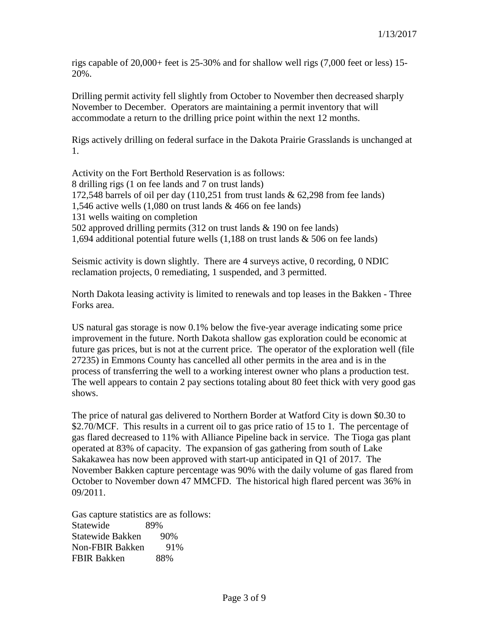rigs capable of 20,000+ feet is 25-30% and for shallow well rigs (7,000 feet or less) 15- 20%.

Drilling permit activity fell slightly from October to November then decreased sharply November to December. Operators are maintaining a permit inventory that will accommodate a return to the drilling price point within the next 12 months.

Rigs actively drilling on federal surface in the Dakota Prairie Grasslands is unchanged at 1.

Activity on the Fort Berthold Reservation is as follows: 8 drilling rigs (1 on fee lands and 7 on trust lands) 172,548 barrels of oil per day (110,251 from trust lands & 62,298 from fee lands) 1,546 active wells (1,080 on trust lands & 466 on fee lands) 131 wells waiting on completion 502 approved drilling permits (312 on trust lands & 190 on fee lands) 1,694 additional potential future wells (1,188 on trust lands & 506 on fee lands)

Seismic activity is down slightly. There are 4 surveys active, 0 recording, 0 NDIC reclamation projects, 0 remediating, 1 suspended, and 3 permitted.

North Dakota leasing activity is limited to renewals and top leases in the Bakken - Three Forks area.

US natural gas storage is now 0.1% below the five-year average indicating some price improvement in the future. North Dakota shallow gas exploration could be economic at future gas prices, but is not at the current price. The operator of the exploration well (file 27235) in Emmons County has cancelled all other permits in the area and is in the process of transferring the well to a working interest owner who plans a production test. The well appears to contain 2 pay sections totaling about 80 feet thick with very good gas shows.

The price of natural gas delivered to Northern Border at Watford City is down \$0.30 to \$2.70/MCF. This results in a current oil to gas price ratio of 15 to 1. The percentage of gas flared decreased to 11% with Alliance Pipeline back in service. The Tioga gas plant operated at 83% of capacity. The expansion of gas gathering from south of Lake Sakakawea has now been approved with start-up anticipated in Q1 of 2017. The November Bakken capture percentage was 90% with the daily volume of gas flared from October to November down 47 MMCFD. The historical high flared percent was 36% in 09/2011.

Gas capture statistics are as follows: Statewide 89% Statewide Bakken 90% Non-FBIR Bakken 91% FBIR Bakken 88%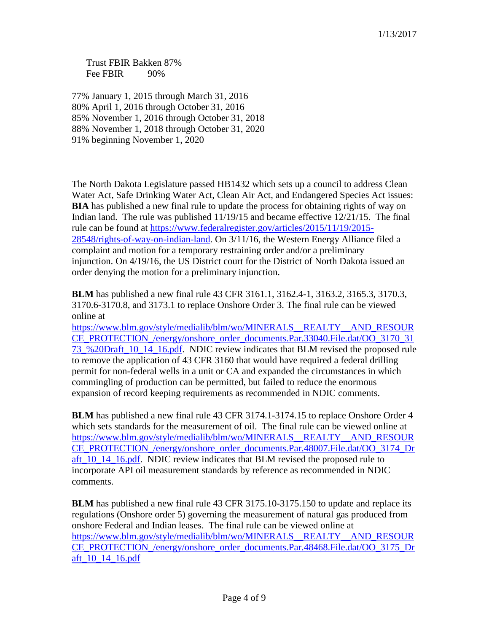Trust FBIR Bakken 87% Fee FBIR 90%

77% January 1, 2015 through March 31, 2016 80% April 1, 2016 through October 31, 2016 85% November 1, 2016 through October 31, 2018 88% November 1, 2018 through October 31, 2020 91% beginning November 1, 2020

The North Dakota Legislature passed HB1432 which sets up a council to address Clean Water Act, Safe Drinking Water Act, Clean Air Act, and Endangered Species Act issues: **BIA** has published a new final rule to update the process for obtaining rights of way on Indian land. The rule was published 11/19/15 and became effective 12/21/15. The final rule can be found at [https://www.federalregister.gov/articles/2015/11/19/2015-](https://www.federalregister.gov/articles/2015/11/19/2015-28548/rights-of-way-on-indian-land) [28548/rights-of-way-on-indian-land.](https://www.federalregister.gov/articles/2015/11/19/2015-28548/rights-of-way-on-indian-land) On 3/11/16, the Western Energy Alliance filed a complaint and motion for a temporary restraining order and/or a preliminary injunction. On 4/19/16, the US District court for the District of North Dakota issued an order denying the motion for a preliminary injunction.

**BLM** has published a new final rule 43 CFR 3161.1, 3162.4-1, 3163.2, 3165.3, 3170.3, 3170.6-3170.8, and 3173.1 to replace Onshore Order 3. The final rule can be viewed online at

[https://www.blm.gov/style/medialib/blm/wo/MINERALS\\_\\_REALTY\\_\\_AND\\_RESOUR](https://www.blm.gov/style/medialib/blm/wo/MINERALS__REALTY__AND_RESOURCE_PROTECTION_/energy/onshore_order_documents.Par.33040.File.dat/OO_3170_3173_%20Draft_10_14_16.pdf) [CE\\_PROTECTION\\_/energy/onshore\\_order\\_documents.Par.33040.File.dat/OO\\_3170\\_31](https://www.blm.gov/style/medialib/blm/wo/MINERALS__REALTY__AND_RESOURCE_PROTECTION_/energy/onshore_order_documents.Par.33040.File.dat/OO_3170_3173_%20Draft_10_14_16.pdf) [73\\_%20Draft\\_10\\_14\\_16.pdf.](https://www.blm.gov/style/medialib/blm/wo/MINERALS__REALTY__AND_RESOURCE_PROTECTION_/energy/onshore_order_documents.Par.33040.File.dat/OO_3170_3173_%20Draft_10_14_16.pdf) NDIC review indicates that BLM revised the proposed rule to remove the application of 43 CFR 3160 that would have required a federal drilling permit for non-federal wells in a unit or CA and expanded the circumstances in which commingling of production can be permitted, but failed to reduce the enormous expansion of record keeping requirements as recommended in NDIC comments.

**BLM** has published a new final rule 43 CFR 3174.1-3174.15 to replace Onshore Order 4 which sets standards for the measurement of oil. The final rule can be viewed online at [https://www.blm.gov/style/medialib/blm/wo/MINERALS\\_\\_REALTY\\_\\_AND\\_RESOUR](https://www.blm.gov/style/medialib/blm/wo/MINERALS__REALTY__AND_RESOURCE_PROTECTION_/energy/onshore_order_documents.Par.48007.File.dat/OO_3174_Draft_10_14_16.pdf) [CE\\_PROTECTION\\_/energy/onshore\\_order\\_documents.Par.48007.File.dat/OO\\_3174\\_Dr](https://www.blm.gov/style/medialib/blm/wo/MINERALS__REALTY__AND_RESOURCE_PROTECTION_/energy/onshore_order_documents.Par.48007.File.dat/OO_3174_Draft_10_14_16.pdf) aft 10\_14\_16.pdf. NDIC review indicates that BLM revised the proposed rule to incorporate API oil measurement standards by reference as recommended in NDIC comments.

**BLM** has published a new final rule 43 CFR 3175.10-3175.150 to update and replace its regulations (Onshore order 5) governing the measurement of natural gas produced from onshore Federal and Indian leases. The final rule can be viewed online at [https://www.blm.gov/style/medialib/blm/wo/MINERALS\\_\\_REALTY\\_\\_AND\\_RESOUR](https://www.blm.gov/style/medialib/blm/wo/MINERALS__REALTY__AND_RESOURCE_PROTECTION_/energy/onshore_order_documents.Par.48468.File.dat/OO_3175_Draft_10_14_16.pdf) [CE\\_PROTECTION\\_/energy/onshore\\_order\\_documents.Par.48468.File.dat/OO\\_3175\\_Dr](https://www.blm.gov/style/medialib/blm/wo/MINERALS__REALTY__AND_RESOURCE_PROTECTION_/energy/onshore_order_documents.Par.48468.File.dat/OO_3175_Draft_10_14_16.pdf) [aft\\_10\\_14\\_16.pdf](https://www.blm.gov/style/medialib/blm/wo/MINERALS__REALTY__AND_RESOURCE_PROTECTION_/energy/onshore_order_documents.Par.48468.File.dat/OO_3175_Draft_10_14_16.pdf)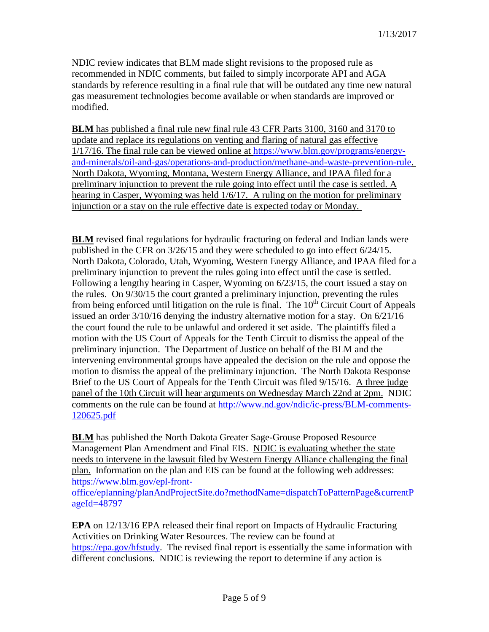NDIC review indicates that BLM made slight revisions to the proposed rule as recommended in NDIC comments, but failed to simply incorporate API and AGA standards by reference resulting in a final rule that will be outdated any time new natural gas measurement technologies become available or when standards are improved or modified.

**BLM** has published a final rule new final rule 43 CFR Parts 3100, 3160 and 3170 to update and replace its regulations on venting and flaring of natural gas effective 1/17/16. The final rule can be viewed online at [https://www.blm.gov/programs/energy](https://www.blm.gov/programs/energy-and-minerals/oil-and-gas/operations-and-production/methane-and-waste-prevention-rule)[and-minerals/oil-and-gas/operations-and-production/methane-and-waste-prevention-rule.](https://www.blm.gov/programs/energy-and-minerals/oil-and-gas/operations-and-production/methane-and-waste-prevention-rule) North Dakota, Wyoming, Montana, Western Energy Alliance, and IPAA filed for a preliminary injunction to prevent the rule going into effect until the case is settled. A hearing in Casper, Wyoming was held 1/6/17. A ruling on the motion for preliminary injunction or a stay on the rule effective date is expected today or Monday.

**BLM** revised final regulations for hydraulic fracturing on federal and Indian lands were published in the CFR on 3/26/15 and they were scheduled to go into effect 6/24/15. North Dakota, Colorado, Utah, Wyoming, Western Energy Alliance, and IPAA filed for a preliminary injunction to prevent the rules going into effect until the case is settled. Following a lengthy hearing in Casper, Wyoming on 6/23/15, the court issued a stay on the rules. On 9/30/15 the court granted a preliminary injunction, preventing the rules from being enforced until litigation on the rule is final. The  $10<sup>th</sup>$  Circuit Court of Appeals issued an order 3/10/16 denying the industry alternative motion for a stay. On 6/21/16 the court found the rule to be unlawful and ordered it set aside. The plaintiffs filed a motion with the US Court of Appeals for the Tenth Circuit to dismiss the appeal of the preliminary injunction. The Department of Justice on behalf of the BLM and the intervening environmental groups have appealed the decision on the rule and oppose the motion to dismiss the appeal of the preliminary injunction. The North Dakota Response Brief to the US Court of Appeals for the Tenth Circuit was filed 9/15/16. A three judge panel of the 10th Circuit will hear arguments on Wednesday March 22nd at 2pm. NDIC comments on the rule can be found at [http://www.nd.gov/ndic/ic-press/BLM-comments-](http://www.nd.gov/ndic/ic-press/BLM-comments-120625.pdf)[120625.pdf](http://www.nd.gov/ndic/ic-press/BLM-comments-120625.pdf)

**BLM** has published the North Dakota Greater Sage-Grouse Proposed Resource Management Plan Amendment and Final EIS. NDIC is evaluating whether the state needs to intervene in the lawsuit filed by Western Energy Alliance challenging the final plan. Information on the plan and EIS can be found at the following web addresses: [https://www.blm.gov/epl-front-](https://www.blm.gov/epl-front-office/eplanning/planAndProjectSite.do?methodName=dispatchToPatternPage¤tPageId=48797)

[office/eplanning/planAndProjectSite.do?methodName=dispatchToPatternPage&currentP](https://www.blm.gov/epl-front-office/eplanning/planAndProjectSite.do?methodName=dispatchToPatternPage¤tPageId=48797) [ageId=48797](https://www.blm.gov/epl-front-office/eplanning/planAndProjectSite.do?methodName=dispatchToPatternPage¤tPageId=48797)

**EPA** on 12/13/16 EPA released their final report on Impacts of Hydraulic Fracturing Activities on Drinking Water Resources. The review can be found at [https://epa.gov/hfstudy.](https://epa.gov/hfstudy) The revised final report is essentially the same information with different conclusions. NDIC is reviewing the report to determine if any action is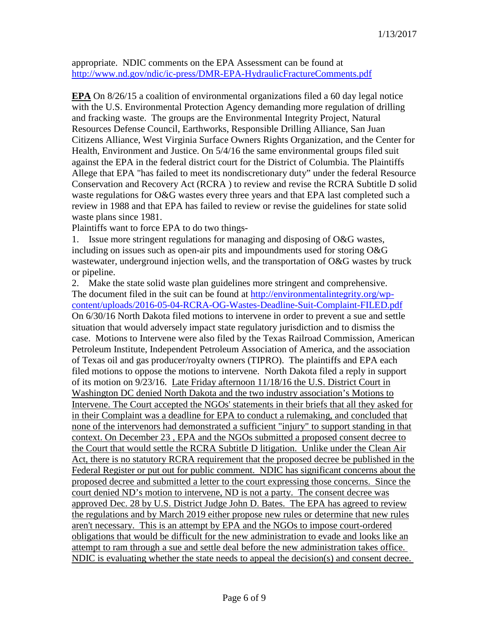appropriate. NDIC comments on the EPA Assessment can be found at <http://www.nd.gov/ndic/ic-press/DMR-EPA-HydraulicFractureComments.pdf>

**EPA** On 8/26/15 a coalition of environmental organizations filed a 60 day legal notice with the U.S. Environmental Protection Agency demanding more regulation of drilling and fracking waste. The groups are the Environmental Integrity Project, Natural Resources Defense Council, Earthworks, Responsible Drilling Alliance, San Juan Citizens Alliance, West Virginia Surface Owners Rights Organization, and the Center for Health, Environment and Justice. On 5/4/16 the same environmental groups filed suit against the EPA in the federal district court for the District of Columbia. The Plaintiffs Allege that EPA "has failed to meet its nondiscretionary duty" under the federal Resource Conservation and Recovery Act (RCRA ) to review and revise the RCRA Subtitle D solid waste regulations for O&G wastes every three years and that EPA last completed such a review in 1988 and that EPA has failed to review or revise the guidelines for state solid waste plans since 1981.

Plaintiffs want to force EPA to do two things-

1. Issue more stringent regulations for managing and disposing of O&G wastes, including on issues such as open-air pits and impoundments used for storing O&G wastewater, underground injection wells, and the transportation of O&G wastes by truck or pipeline.

2. Make the state solid waste plan guidelines more stringent and comprehensive. The document filed in the suit can be found at [http://environmentalintegrity.org/wp](http://environmentalintegrity.org/wp-content/uploads/2016-05-04-RCRA-OG-Wastes-Deadline-Suit-Complaint-FILED.pdf)[content/uploads/2016-05-04-RCRA-OG-Wastes-Deadline-Suit-Complaint-FILED.pdf](http://environmentalintegrity.org/wp-content/uploads/2016-05-04-RCRA-OG-Wastes-Deadline-Suit-Complaint-FILED.pdf) On 6/30/16 North Dakota filed motions to intervene in order to prevent a sue and settle situation that would adversely impact state regulatory jurisdiction and to dismiss the case. Motions to Intervene were also filed by the Texas Railroad Commission, American Petroleum Institute, Independent Petroleum Association of America, and the association of Texas oil and gas producer/royalty owners (TIPRO). The plaintiffs and EPA each filed motions to oppose the motions to intervene. North Dakota filed a reply in support of its motion on 9/23/16. Late Friday afternoon 11/18/16 the U.S. District Court in Washington DC denied North Dakota and the two industry association's Motions to Intervene. The Court accepted the NGOs' statements in their briefs that all they asked for in their Complaint was a deadline for EPA to conduct a rulemaking, and concluded that none of the intervenors had demonstrated a sufficient "injury" to support standing in that context. On December 23 , EPA and the NGOs submitted a proposed consent decree to the Court that would settle the RCRA Subtitle D litigation. Unlike under the Clean Air Act, there is no statutory RCRA requirement that the proposed decree be published in the Federal Register or put out for public comment. NDIC has significant concerns about the proposed decree and submitted a letter to the court expressing those concerns. Since the court denied ND's motion to intervene, ND is not a party. The consent decree was approved Dec. 28 by U.S. District Judge John D. Bates. The EPA has agreed to review the regulations and by March 2019 either propose new rules or determine that new rules aren't necessary. This is an attempt by EPA and the NGOs to impose court-ordered obligations that would be difficult for the new administration to evade and looks like an attempt to ram through a sue and settle deal before the new administration takes office. NDIC is evaluating whether the state needs to appeal the decision(s) and consent decree.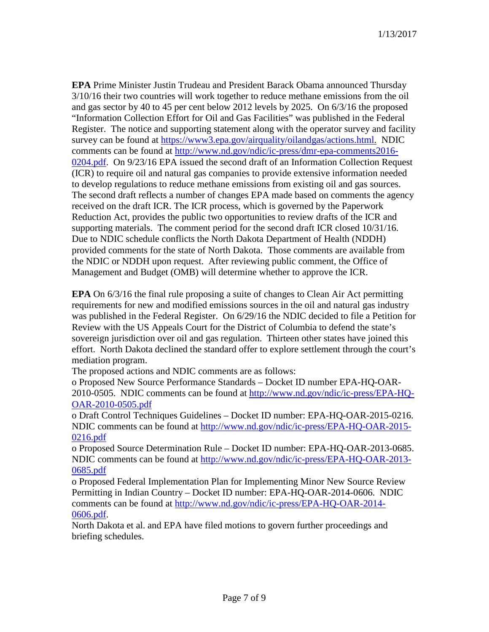**EPA** Prime Minister Justin Trudeau and President Barack Obama announced Thursday 3/10/16 their two countries will work together to reduce methane emissions from the oil and gas sector by 40 to 45 per cent below 2012 levels by 2025. On 6/3/16 the proposed "Information Collection Effort for Oil and Gas Facilities" was published in the Federal Register. The notice and supporting statement along with the operator survey and facility survey can be found at [https://www3.epa.gov/airquality/oilandgas/actions.html.](https://www3.epa.gov/airquality/oilandgas/actions.html) NDIC comments can be found at [http://www.nd.gov/ndic/ic-press/dmr-epa-comments2016-](http://www.nd.gov/ndic/ic-press/dmr-epa-comments2016-0204.pdf) [0204.pdf.](http://www.nd.gov/ndic/ic-press/dmr-epa-comments2016-0204.pdf) On 9/23/16 EPA issued the second draft of an Information Collection Request (ICR) to require oil and natural gas companies to provide extensive information needed to develop regulations to reduce methane emissions from existing oil and gas sources. The second draft reflects a number of changes EPA made based on comments the agency received on the draft ICR. The ICR process, which is governed by the Paperwork Reduction Act, provides the public two opportunities to review drafts of the ICR and supporting materials. The comment period for the second draft ICR closed 10/31/16. Due to NDIC schedule conflicts the North Dakota Department of Health (NDDH) provided comments for the state of North Dakota. Those comments are available from the NDIC or NDDH upon request. After reviewing public comment, the Office of Management and Budget (OMB) will determine whether to approve the ICR.

**EPA** On 6/3/16 the final rule proposing a suite of changes to Clean Air Act permitting requirements for new and modified emissions sources in the oil and natural gas industry was published in the Federal Register. On 6/29/16 the NDIC decided to file a Petition for Review with the US Appeals Court for the District of Columbia to defend the state's sovereign jurisdiction over oil and gas regulation. Thirteen other states have joined this effort. North Dakota declined the standard offer to explore settlement through the court's mediation program.

The proposed actions and NDIC comments are as follows:

o Proposed New Source Performance Standards – Docket ID number EPA-HQ-OAR-2010-0505. NDIC comments can be found at [http://www.nd.gov/ndic/ic-press/EPA-HQ-](http://www.nd.gov/ndic/ic-press/EPA-HQ-OAR-2010-0505.pdf)[OAR-2010-0505.pdf](http://www.nd.gov/ndic/ic-press/EPA-HQ-OAR-2010-0505.pdf)

o Draft Control Techniques Guidelines – Docket ID number: EPA-HQ-OAR-2015-0216. NDIC comments can be found at [http://www.nd.gov/ndic/ic-press/EPA-HQ-OAR-2015-](http://www.nd.gov/ndic/ic-press/EPA-HQ-OAR-2015-0216.pdf) [0216.pdf](http://www.nd.gov/ndic/ic-press/EPA-HQ-OAR-2015-0216.pdf)

o Proposed Source Determination Rule – Docket ID number: EPA-HQ-OAR-2013-0685. NDIC comments can be found at [http://www.nd.gov/ndic/ic-press/EPA-HQ-OAR-2013-](http://www.nd.gov/ndic/ic-press/EPA-HQ-OAR-2013-0685.pdf) [0685.pdf](http://www.nd.gov/ndic/ic-press/EPA-HQ-OAR-2013-0685.pdf)

o Proposed Federal Implementation Plan for Implementing Minor New Source Review Permitting in Indian Country – Docket ID number: EPA-HQ-OAR-2014-0606. NDIC comments can be found at [http://www.nd.gov/ndic/ic-press/EPA-HQ-OAR-2014-](http://www.nd.gov/ndic/ic-press/EPA-HQ-OAR-2014-0606.pdf) [0606.pdf.](http://www.nd.gov/ndic/ic-press/EPA-HQ-OAR-2014-0606.pdf)

North Dakota et al. and EPA have filed motions to govern further proceedings and briefing schedules.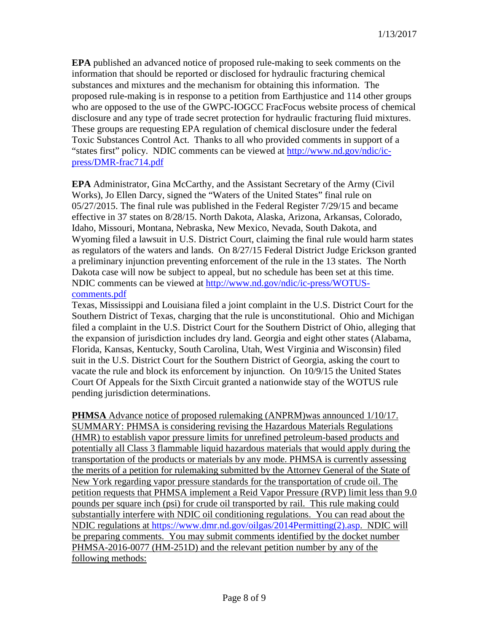**EPA** published an advanced notice of proposed rule-making to seek comments on the information that should be reported or disclosed for hydraulic fracturing chemical substances and mixtures and the mechanism for obtaining this information. The proposed rule-making is in response to a petition from Earthjustice and 114 other groups who are opposed to the use of the GWPC-IOGCC FracFocus website process of chemical disclosure and any type of trade secret protection for hydraulic fracturing fluid mixtures. These groups are requesting EPA regulation of chemical disclosure under the federal Toxic Substances Control Act. Thanks to all who provided comments in support of a "states first" policy. NDIC comments can be viewed at [http://www.nd.gov/ndic/ic](http://www.nd.gov/ndic/ic-press/DMR-frac714.pdf)[press/DMR-frac714.pdf](http://www.nd.gov/ndic/ic-press/DMR-frac714.pdf)

**EPA** Administrator, Gina McCarthy, and the Assistant Secretary of the Army (Civil Works), Jo Ellen Darcy, signed the "Waters of the United States" final rule on 05/27/2015. The final rule was published in the Federal Register 7/29/15 and became effective in 37 states on 8/28/15. North Dakota, Alaska, Arizona, Arkansas, Colorado, Idaho, Missouri, Montana, Nebraska, New Mexico, Nevada, South Dakota, and Wyoming filed a lawsuit in U.S. District Court, claiming the final rule would harm states as regulators of the waters and lands. On 8/27/15 Federal District Judge Erickson granted a preliminary injunction preventing enforcement of the rule in the 13 states. The North Dakota case will now be subject to appeal, but no schedule has been set at this time. NDIC comments can be viewed at [http://www.nd.gov/ndic/ic-press/WOTUS](http://www.nd.gov/ndic/ic-press/WOTUS-comments.pdf)[comments.pdf](http://www.nd.gov/ndic/ic-press/WOTUS-comments.pdf)

Texas, Mississippi and Louisiana filed a joint complaint in the U.S. District Court for the Southern District of Texas, charging that the rule is unconstitutional. Ohio and Michigan filed a complaint in the U.S. District Court for the Southern District of Ohio, alleging that the expansion of jurisdiction includes dry land. Georgia and eight other states (Alabama, Florida, Kansas, Kentucky, South Carolina, Utah, West Virginia and Wisconsin) filed suit in the U.S. District Court for the Southern District of Georgia, asking the court to vacate the rule and block its enforcement by injunction. On 10/9/15 the United States Court Of Appeals for the Sixth Circuit granted a nationwide stay of the WOTUS rule pending jurisdiction determinations.

**PHMSA** Advance notice of proposed rulemaking (ANPRM)was announced 1/10/17. SUMMARY: PHMSA is considering revising the Hazardous Materials Regulations (HMR) to establish vapor pressure limits for unrefined petroleum-based products and potentially all Class 3 flammable liquid hazardous materials that would apply during the transportation of the products or materials by any mode. PHMSA is currently assessing the merits of a petition for rulemaking submitted by the Attorney General of the State of New York regarding vapor pressure standards for the transportation of crude oil. The petition requests that PHMSA implement a Reid Vapor Pressure (RVP) limit less than 9.0 pounds per square inch (psi) for crude oil transported by rail. This rule making could substantially interfere with NDIC oil conditioning regulations. You can read about the NDIC regulations at [https://www.dmr.nd.gov/oilgas/2014Permitting\(2\).asp.](https://www.dmr.nd.gov/oilgas/2014Permitting(2).asp) NDIC will be preparing comments. You may submit comments identified by the docket number PHMSA-2016-0077 (HM-251D) and the relevant petition number by any of the following methods: